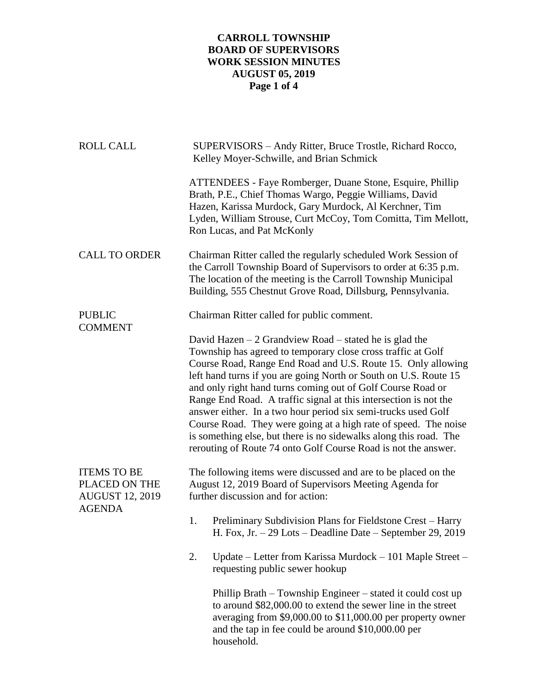## **CARROLL TOWNSHIP BOARD OF SUPERVISORS WORK SESSION MINUTES AUGUST 05, 2019 Page 1 of 4**

| <b>ROLL CALL</b>                                                               | SUPERVISORS - Andy Ritter, Bruce Trostle, Richard Rocco,<br>Kelley Moyer-Schwille, and Brian Schmick                                                                                                                                                                                                                                                                                                                                                                                                                                                                                                                                                                        |
|--------------------------------------------------------------------------------|-----------------------------------------------------------------------------------------------------------------------------------------------------------------------------------------------------------------------------------------------------------------------------------------------------------------------------------------------------------------------------------------------------------------------------------------------------------------------------------------------------------------------------------------------------------------------------------------------------------------------------------------------------------------------------|
|                                                                                | ATTENDEES - Faye Romberger, Duane Stone, Esquire, Phillip<br>Brath, P.E., Chief Thomas Wargo, Peggie Williams, David<br>Hazen, Karissa Murdock, Gary Murdock, Al Kerchner, Tim<br>Lyden, William Strouse, Curt McCoy, Tom Comitta, Tim Mellott,<br>Ron Lucas, and Pat McKonly                                                                                                                                                                                                                                                                                                                                                                                               |
| <b>CALL TO ORDER</b>                                                           | Chairman Ritter called the regularly scheduled Work Session of<br>the Carroll Township Board of Supervisors to order at 6:35 p.m.<br>The location of the meeting is the Carroll Township Municipal<br>Building, 555 Chestnut Grove Road, Dillsburg, Pennsylvania.                                                                                                                                                                                                                                                                                                                                                                                                           |
| <b>PUBLIC</b><br><b>COMMENT</b>                                                | Chairman Ritter called for public comment.                                                                                                                                                                                                                                                                                                                                                                                                                                                                                                                                                                                                                                  |
|                                                                                | David Hazen $-2$ Grandview Road $-$ stated he is glad the<br>Township has agreed to temporary close cross traffic at Golf<br>Course Road, Range End Road and U.S. Route 15. Only allowing<br>left hand turns if you are going North or South on U.S. Route 15<br>and only right hand turns coming out of Golf Course Road or<br>Range End Road. A traffic signal at this intersection is not the<br>answer either. In a two hour period six semi-trucks used Golf<br>Course Road. They were going at a high rate of speed. The noise<br>is something else, but there is no sidewalks along this road. The<br>rerouting of Route 74 onto Golf Course Road is not the answer. |
| <b>ITEMS TO BE</b><br>PLACED ON THE<br><b>AUGUST 12, 2019</b><br><b>AGENDA</b> | The following items were discussed and are to be placed on the<br>August 12, 2019 Board of Supervisors Meeting Agenda for<br>further discussion and for action:                                                                                                                                                                                                                                                                                                                                                                                                                                                                                                             |
|                                                                                | Preliminary Subdivision Plans for Fieldstone Crest – Harry<br>1.<br>H. Fox, Jr. $-29$ Lots $-$ Deadline Date $-$ September 29, 2019                                                                                                                                                                                                                                                                                                                                                                                                                                                                                                                                         |
|                                                                                | Update – Letter from Karissa Murdock – 101 Maple Street –<br>2.<br>requesting public sewer hookup                                                                                                                                                                                                                                                                                                                                                                                                                                                                                                                                                                           |
|                                                                                | Phillip Brath – Township Engineer – stated it could cost up<br>to around \$82,000.00 to extend the sewer line in the street<br>averaging from \$9,000.00 to \$11,000.00 per property owner<br>and the tap in fee could be around \$10,000.00 per<br>household.                                                                                                                                                                                                                                                                                                                                                                                                              |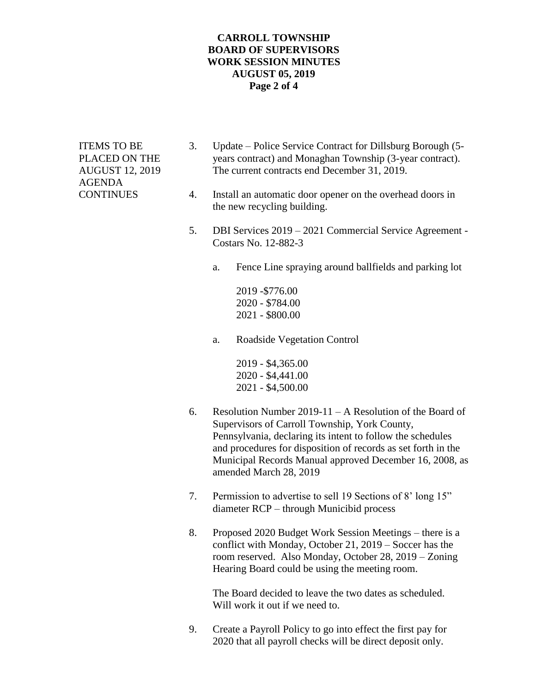## **CARROLL TOWNSHIP BOARD OF SUPERVISORS WORK SESSION MINUTES AUGUST 05, 2019 Page 2 of 4**

AGENDA

- ITEMS TO BE 3. Update Police Service Contract for Dillsburg Borough (5- PLACED ON THE years contract) and Monaghan Township (3-year contract). AUGUST 12, 2019 The current contracts end December 31, 2019.
- CONTINUES 4. Install an automatic door opener on the overhead doors in the new recycling building.
	- 5. DBI Services 2019 2021 Commercial Service Agreement Costars No. 12-882-3
		- a. Fence Line spraying around ballfields and parking lot

2019 -\$776.00 2020 - \$784.00 2021 - \$800.00

a. Roadside Vegetation Control

2019 - \$4,365.00 2020 - \$4,441.00 2021 - \$4,500.00

- 6. Resolution Number 2019-11 A Resolution of the Board of Supervisors of Carroll Township, York County, Pennsylvania, declaring its intent to follow the schedules and procedures for disposition of records as set forth in the Municipal Records Manual approved December 16, 2008, as amended March 28, 2019
- 7. Permission to advertise to sell 19 Sections of 8' long 15" diameter RCP – through Municibid process
- 8. Proposed 2020 Budget Work Session Meetings there is a conflict with Monday, October 21, 2019 – Soccer has the room reserved. Also Monday, October 28, 2019 – Zoning Hearing Board could be using the meeting room.

The Board decided to leave the two dates as scheduled. Will work it out if we need to.

9. Create a Payroll Policy to go into effect the first pay for 2020 that all payroll checks will be direct deposit only.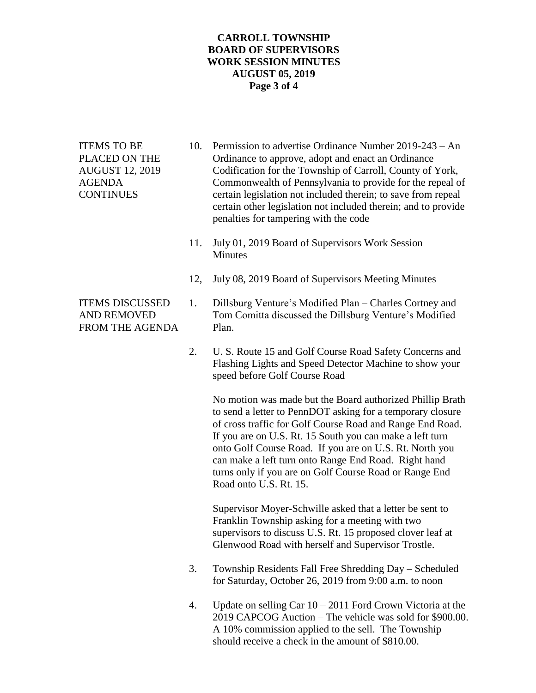## **CARROLL TOWNSHIP BOARD OF SUPERVISORS WORK SESSION MINUTES AUGUST 05, 2019 Page 3 of 4**

- ITEMS TO BE 10. Permission to advertise Ordinance Number 2019-243 An PLACED ON THE Ordinance to approve, adopt and enact an Ordinance AUGUST 12, 2019 Codification for the Township of Carroll, County of York, AGENDA Commonwealth of Pennsylvania to provide for the repeal of CONTINUES certain legislation not included therein; to save from repeal certain other legislation not included therein; and to provide penalties for tampering with the code
	- 11. July 01, 2019 Board of Supervisors Work Session Minutes
	- 12, July 08, 2019 Board of Supervisors Meeting Minutes
- ITEMS DISCUSSED 1. Dillsburg Venture's Modified Plan Charles Cortney and AND REMOVED Tom Comitta discussed the Dillsburg Venture's Modified
	- 2. U. S. Route 15 and Golf Course Road Safety Concerns and Flashing Lights and Speed Detector Machine to show your speed before Golf Course Road

No motion was made but the Board authorized Phillip Brath to send a letter to PennDOT asking for a temporary closure of cross traffic for Golf Course Road and Range End Road. If you are on U.S. Rt. 15 South you can make a left turn onto Golf Course Road. If you are on U.S. Rt. North you can make a left turn onto Range End Road. Right hand turns only if you are on Golf Course Road or Range End Road onto U.S. Rt. 15.

Supervisor Moyer-Schwille asked that a letter be sent to Franklin Township asking for a meeting with two supervisors to discuss U.S. Rt. 15 proposed clover leaf at Glenwood Road with herself and Supervisor Trostle.

- 3. Township Residents Fall Free Shredding Day Scheduled for Saturday, October 26, 2019 from 9:00 a.m. to noon
- 4. Update on selling Car 10 2011 Ford Crown Victoria at the 2019 CAPCOG Auction – The vehicle was sold for \$900.00. A 10% commission applied to the sell. The Township should receive a check in the amount of \$810.00.

FROM THE AGENDA Plan.